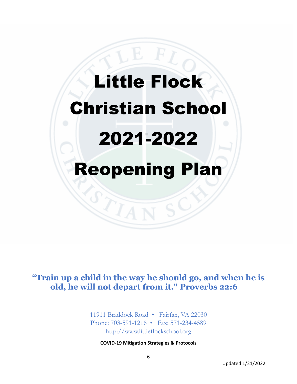# Little Flock Christian School 2021-2022 Reopening Plan

**"Train up a child in the way he should go, and when he is old, he will not depart from it." Proverbs 22:6** 

> 11911 Braddock Road · Fairfax, VA 22030 Phone: 703-591-1216 • Fax: 571-234-4589 [http://www.littleflockschool.org](about:blank)

**COVID-19 Mitigation Strategies & Protocols**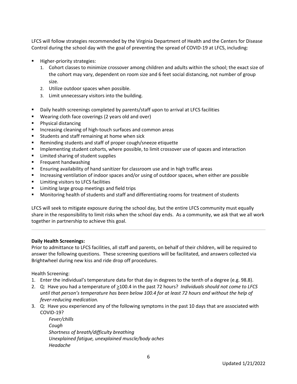LFCS will follow strategies recommended by the Virginia Department of Health and the Centers for Disease Control during the school day with the goal of preventing the spread of COVID-19 at LFCS, including:

- Higher-priority strategies:
	- 1. Cohort classes to minimize crossover among children and adults within the school; the exact size of the cohort may vary, dependent on room size and 6 feet social distancing, not number of group size.
	- 2. Utilize outdoor spaces when possible.
	- 3. Limit unnecessary visitors into the building.
- Daily health screenings completed by parents/staff upon to arrival at LFCS facilities
- Wearing cloth face coverings (2 years old and over)
- **Physical distancing**
- **Increasing cleaning of high-touch surfaces and common areas**
- **Students and staff remaining at home when sick**
- Reminding students and staff of proper cough/sneeze etiquette
- **IMPLEMENT IMPLEMENT IMPLE THE STARK IMPLEMENT IMPLEMENT IMPLY** Implementing student cohors and interaction
- **EXECUTE:** Limited sharing of student supplies
- **Filter** Frequent handwashing
- Ensuring availability of hand sanitizer for classroom use and in high traffic areas
- **Increasing ventilation of indoor spaces and/or using of outdoor spaces, when either are possible**
- **EXECUTE:** Limiting visitors to LFCS facilities
- **EXTE:** Limiting large group meetings and field trips
- Monitoring health of students and staff and differentiating rooms for treatment of students

LFCS will seek to mitigate exposure during the school day, but the entire LFCS community must equally share in the responsibility to limit risks when the school day ends. As a community, we ask that we all work together in partnership to achieve this goal.

#### **Daily Health Screenings:**

Prior to admittance to LFCS facilities, all staff and parents, on behalf of their children, will be required to answer the following questions. These screening questions will be facilitated, and answers collected via Brightwheel during new kiss and ride drop off procedures.

Health Screening:

- 1. Enter the individual's temperature data for that day in degrees to the tenth of a degree (e.g. 98.8).
- 2. Q: Have you had a temperature of  $\geq$ 100.4 in the past 72 hours? *Individuals should not come to LFCS until that person's temperature has been below 100.4 for at least 72 hours and without the help of fever-reducing medication.*
- 3. Q: Have you experienced any of the following symptoms in the past 10 days that are associated with COVID-19?

*Fever/chills Cough Shortness of breath/difficulty breathing Unexplained fatigue, unexplained muscle/body aches Headache*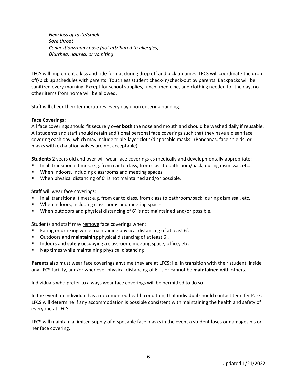*New loss of taste/smell Sore throat Congestion/runny nose (not attributed to allergies) Diarrhea, nausea, or vomiting*

LFCS will implement a kiss and ride format during drop off and pick up times. LFCS will coordinate the drop off/pick up schedules with parents. Touchless student check-in/check-out by parents. Backpacks will be sanitized every morning. Except for school supplies, lunch, medicine, and clothing needed for the day, no other items from home will be allowed.

Staff will check their temperatures every day upon entering building.

#### **Face Coverings:**

All face coverings should fit securely over **both** the nose and mouth and should be washed daily if reusable. All students and staff should retain additional personal face coverings such that they have a clean face covering each day, which may include triple-layer cloth/disposable masks. (Bandanas, face shields, or masks with exhalation valves are not acceptable)

**Students** 2 years old and over will wear face coverings as medically and developmentally appropriate:

- In all transitional times; e.g. from car to class, from class to bathroom/back, during dismissal, etc.
- When indoors, including classrooms and meeting spaces.
- When physical distancing of 6' is not maintained and/or possible.

#### **Staff** will wear face coverings:

- In all transitional times; e.g. from car to class, from class to bathroom/back, during dismissal, etc.
- **When indoors, including classrooms and meeting spaces.**
- When outdoors and physical distancing of 6' is not maintained and/or possible.

Students and staff may remove face coverings when:

- Eating or drinking while maintaining physical distancing of at least 6'.
- Outdoors and **maintaining** physical distancing of at least 6'.
- **IFM** Indoors and **solely** occupying a classroom, meeting space, office, etc.
- Nap times while maintaining physical distancing

**Parents** also must wear face coverings anytime they are at LFCS; i.e. in transition with their student, inside any LFCS facility, and/or whenever physical distancing of 6' is or cannot be **maintained** with others.

Individuals who prefer to always wear face coverings will be permitted to do so.

In the event an individual has a documented health condition, that individual should contact Jennifer Park. LFCS will determine if any accommodation is possible consistent with maintaining the health and safety of everyone at LFCS.

LFCS will maintain a limited supply of disposable face masks in the event a student loses or damages his or her face covering.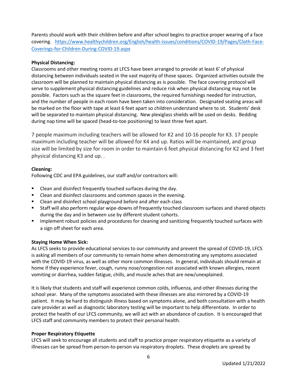Parents should work with their children before and after school begins to practice proper wearing of a face covering. [https://www.healthychildren.org/English/health-issues/conditions/COVID-19/Pages/Cloth-Face-](about:blank)[Coverings-for-Children-During-COVID-19.aspx](about:blank)

# **Physical Distancing:**

Classrooms and other meeting rooms at LFCS have been arranged to provide at least 6' of physical distancing between individuals seated in the vast majority of those spaces. Organized activities outside the classroom will be planned to maintain physical distancing as is possible. The face covering protocol will serve to supplement physical distancing guidelines and reduce risk when physical distancing may not be possible. Factors such as the square feet in classrooms, the required furnishings needed for instruction, and the number of people in each room have been taken into consideration. Designated seating areas will be marked on the floor with tape at least 6 feet apart so children understand where to sit. Students' desk will be separated to maintain physical distancing. New plexiglass shields will be used on desks. Bedding during nap time will be spaced (head-to-toe positioning) to least three feet apart.

7 people maximum including teachers will be allowed for K2 and 10-16 people for K3. 17 people maximum including teacher will be allowed for K4 and up. Ratios will be maintained, and group size will be limited by size for room in order to maintain 6 feet physical distancing for K2 and 3 feet physical distancing K3 and up. .

# **Cleaning:**

Following CDC and EPA guidelines, our staff and/or contractors will:

- Clean and disinfect frequently touched surfaces during the day.
- Clean and disinfect classrooms and common spaces in the evening.
- Clean and disinfect school playground before and after each class
- Staff will also perform regular wipe-downs of frequently touched classroom surfaces and shared objects during the day and in between use by different student cohorts.
- **IMPLEM** 10 Implement robust policies and procedures for cleaning and sanitizing frequently touched surfaces with a sign off sheet for each area.

#### **Staying Home When Sick:**

As LFCS seeks to provide educational services to our community and prevent the spread of COVID-19, LFCS is asking all members of our community to remain home when demonstrating any symptoms associated with the COVID-19 virus, as well as other more common illnesses. In general, individuals should remain at home if they experience fever, cough, runny nose/congestion not associated with known allergies, recent vomiting or diarrhea, sudden fatigue, chills, and muscle aches that are new/unexplained.

It is likely that students and staff will experience common colds, influenza, and other illnesses during the school year. Many of the symptoms associated with these illnesses are also mirrored by a COVID-19 patient. It may be hard to distinguish illness based on symptoms alone, and both consultation with a health care provider as well as diagnostic laboratory testing will be important to help differentiate. In order to protect the health of our LFCS community, we will act with an abundance of caution. It is encouraged that LFCS staff and community members to protect their personal health.

#### **Proper Respiratory Etiquette**

LFCS will seek to encourage all students and staff to practice proper respiratory etiquette as a variety of illnesses can be spread from person-to-person via respiratory droplets. These droplets are spread by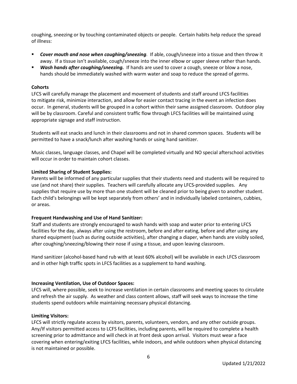coughing, sneezing or by touching contaminated objects or people. Certain habits help reduce the spread of illness:

- *Cover mouth and nose when coughing/sneezing.* If able, cough/sneeze into a tissue and then throw it away. If a tissue isn't available, cough/sneeze into the inner elbow or upper sleeve rather than hands.
- *Wash hands after coughing/sneezing.* If hands are used to cover a cough, sneeze or blow a nose, hands should be immediately washed with warm water and soap to reduce the spread of germs.

## **Cohorts**

LFCS will carefully manage the placement and movement of students and staff around LFCS facilities to mitigate risk, minimize interaction, and allow for easier contact tracing in the event an infection does occur. In general, students will be grouped in a cohort within their same assigned classroom. Outdoor play will be by classroom. Careful and consistent traffic flow through LFCS facilities will be maintained using appropriate signage and staff instruction.

Students will eat snacks and lunch in their classrooms and not in shared common spaces. Students will be permitted to have a snack/lunch after washing hands or using hand sanitizer.

Music classes, language classes, and Chapel will be completed virtually and NO special afterschool activities will occur in order to maintain cohort classes.

#### **Limited Sharing of Student Supplies:**

Parents will be informed of any particular supplies that their students need and students will be required to use (and not share) their supplies. Teachers will carefully allocate any LFCS-provided supplies. Any supplies that require use by more than one student will be cleaned prior to being given to another student. Each child's belongings will be kept separately from others' and in individually labeled containers, cubbies, or areas.

#### **Frequent Handwashing and Use of Hand Sanitizer:**

Staff and students are strongly encouraged to wash hands with soap and water prior to entering LFCS facilities for the day, always after using the restroom, before and after eating, before and after using any shared equipment (such as during outside activities), after changing a diaper, when hands are visibly soiled, after coughing/sneezing/blowing their nose if using a tissue, and upon leaving classroom.

Hand sanitizer (alcohol-based hand rub with at least 60% alcohol) will be available in each LFCS classroom and in other high traffic spots in LFCS facilities as a supplement to hand washing.

#### **Increasing Ventilation, Use of Outdoor Spaces:**

LFCS will, where possible, seek to increase ventilation in certain classrooms and meeting spaces to circulate and refresh the air supply. As weather and class content allows, staff will seek ways to increase the time students spend outdoors while maintaining necessary physical distancing.

#### **Limiting Visitors:**

LFCS will strictly regulate access by visitors, parents, volunteers, vendors, and any other outside groups. Any/If visitors permitted access to LCFS facilities, including parents, will be required to complete a health screening prior to admittance and will check in at front desk upon arrival. Visitors must wear a face covering when entering/exiting LFCS facilities, while indoors, and while outdoors when physical distancing is not maintained or possible.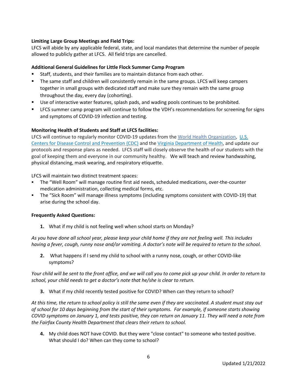# **Limiting Large Group Meetings and Field Trips:**

LFCS will abide by any applicable federal, state, and local mandates that determine the number of people allowed to publicly gather at LFCS. All field trips are cancelled.

## **Additional General Guidelines for Little Flock Summer Camp Program**

- Staff, students, and their families are to maintain distance from each other.
- The same staff and children will consistently remain in the same groups. LFCS will keep campers together in small groups with dedicated staff and make sure they remain with the same group throughout the day, every day (cohorting).
- Use of interactive water features, splash pads, and wading pools continues to be prohibited.
- **EXECS SUMMER CAMP STAGGES 20 THE CONTENT CONTENT** LECS summer LECS summer camp for signs and symptoms of COVID-19 infection and testing.

# **Monitoring Health of Students and Staff at LFCS facilities:**

LFCS will continue to regularly monitor COVID-19 updates from the [World Health Organization,](about:blank) [U.S.](about:blank)  [Centers for Disease Control and Prevention \(CDC\)](about:blank) and the [Virginia Department of Health,](about:blank) and update our protocols and response plans as needed. LFCS staff will closely observe the health of our students with the goal of keeping them and everyone in our community healthy. We will teach and review handwashing, physical distancing, mask wearing, and respiratory etiquette.

LFCS will maintain two distinct treatment spaces:

- The "Well Room" will manage routine first aid needs, scheduled medications, over-the-counter medication administration, collecting medical forms, etc.
- The "Sick Room" will manage illness symptoms (including symptoms consistent with COVID-19) that arise during the school day.

#### **Frequently Asked Questions:**

**1.** What if my child is not feeling well when school starts on Monday?

*As you have done all school year, please keep your child home if they are not feeling well. This includes having a fever, cough, runny nose and/or vomiting. A doctor's note will be required to return to the school.*

**2.** What happens if I send my child to school with a runny nose, cough, or other COVID-like symptoms?

*Your child will be sent to the front office, and we will call you to come pick up your child. In order to return to school, your child needs to get a doctor's note that he/she is clear to return.*

**3.** What if my child recently tested positive for COVID? When can they return to school?

*At this time, the return to school policy is still the same even if they are vaccinated. A student must stay out of school for 10 days beginning from the start of their symptoms. For example, if someone starts showing COVID symptoms on January 1, and tests positive, they can return on January 11. They will need a note from the Fairfax County Health Department that clears their return to school.*

**4.** My child does NOT have COVID. But they were "close contact" to someone who tested positive. What should I do? When can they come to school?